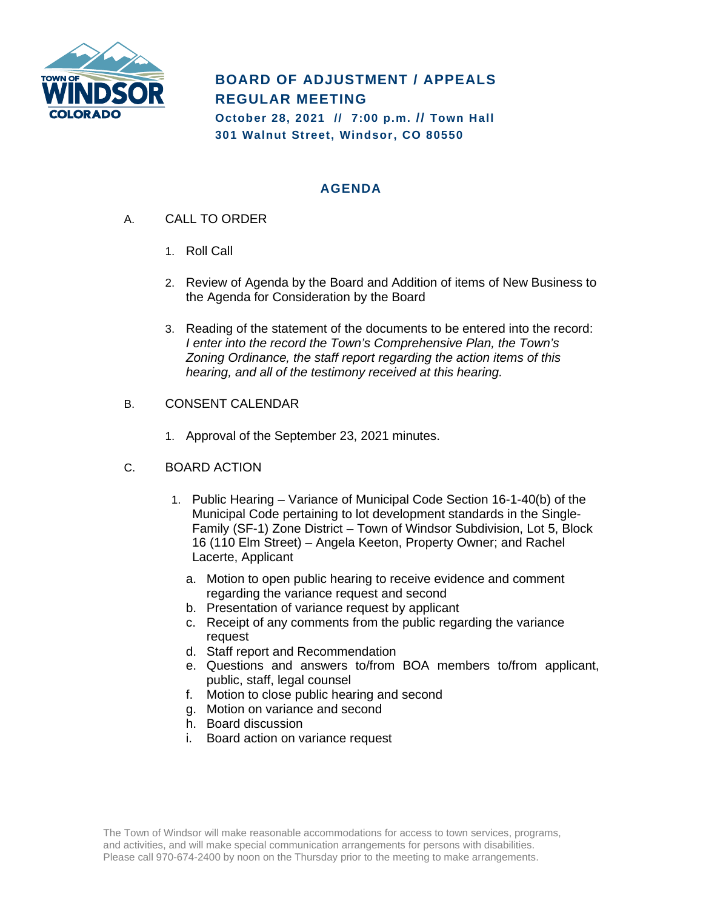

# **BOARD OF ADJUSTMENT / APPEALS REGULAR MEETING**

**October 28, 2021 // 7:00 p.m. // Town Hall 301 Walnut Street, Windsor, CO 80550**

## **AGENDA**

- A. CALL TO ORDER
	- 1. Roll Call
	- 2. Review of Agenda by the Board and Addition of items of New Business to the Agenda for Consideration by the Board
	- 3. Reading of the statement of the documents to be entered into the record: *I enter into the record the Town's Comprehensive Plan, the Town's Zoning Ordinance, the staff report regarding the action items of this hearing, and all of the testimony received at this hearing.*
- B. CONSENT CALENDAR
	- 1. Approval of the September 23, 2021 minutes.
- C. BOARD ACTION
	- 1. Public Hearing Variance of Municipal Code Section 16-1-40(b) of the Municipal Code pertaining to lot development standards in the Single-Family (SF-1) Zone District – Town of Windsor Subdivision, Lot 5, Block 16 (110 Elm Street) – Angela Keeton, Property Owner; and Rachel Lacerte, Applicant
		- a. Motion to open public hearing to receive evidence and comment regarding the variance request and second
		- b. Presentation of variance request by applicant
		- c. Receipt of any comments from the public regarding the variance request
		- d. Staff report and Recommendation
		- e. Questions and answers to/from BOA members to/from applicant, public, staff, legal counsel
		- f. Motion to close public hearing and second
		- g. Motion on variance and second
		- h. Board discussion
		- i. Board action on variance request